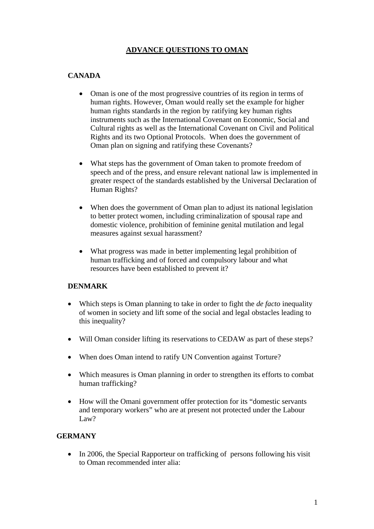## **ADVANCE QUESTIONS TO OMAN**

# **CANADA**

- Oman is one of the most progressive countries of its region in terms of human rights. However, Oman would really set the example for higher human rights standards in the region by ratifying key human rights instruments such as the International Covenant on Economic, Social and Cultural rights as well as the International Covenant on Civil and Political Rights and its two Optional Protocols. When does the government of Oman plan on signing and ratifying these Covenants?
- What steps has the government of Oman taken to promote freedom of speech and of the press, and ensure relevant national law is implemented in greater respect of the standards established by the Universal Declaration of Human Rights?
- When does the government of Oman plan to adjust its national legislation to better protect women, including criminalization of spousal rape and domestic violence, prohibition of feminine genital mutilation and legal measures against sexual harassment?
- What progress was made in better implementing legal prohibition of human trafficking and of forced and compulsory labour and what resources have been established to prevent it?

## **DENMARK**

- Which steps is Oman planning to take in order to fight the *de facto* inequality of women in society and lift some of the social and legal obstacles leading to this inequality?
- Will Oman consider lifting its reservations to CEDAW as part of these steps?
- When does Oman intend to ratify UN Convention against Torture?
- Which measures is Oman planning in order to strengthen its efforts to combat human trafficking?
- How will the Omani government offer protection for its "domestic servants and temporary workers" who are at present not protected under the Labour Law?

## **GERMANY**

• In 2006, the Special Rapporteur on trafficking of persons following his visit to Oman recommended inter alia: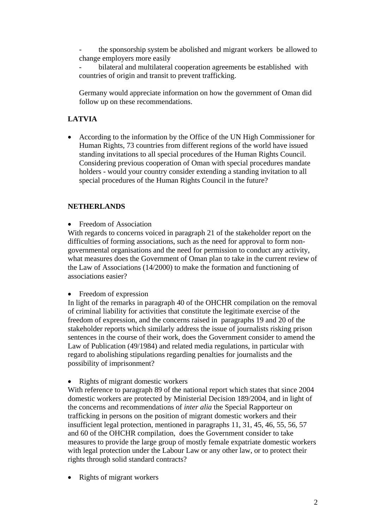the sponsorship system be abolished and migrant workers be allowed to change employers more easily

bilateral and multilateral cooperation agreements be established with countries of origin and transit to prevent trafficking.

 Germany would appreciate information on how the government of Oman did follow up on these recommendations.

## **LATVIA**

• According to the information by the Office of the UN High Commissioner for Human Rights, 73 countries from different regions of the world have issued standing invitations to all special procedures of the Human Rights Council. Considering previous cooperation of Oman with special procedures mandate holders - would your country consider extending a standing invitation to all special procedures of the Human Rights Council in the future?

#### **NETHERLANDS**

• Freedom of Association

With regards to concerns voiced in paragraph 21 of the stakeholder report on the difficulties of forming associations, such as the need for approval to form nongovernmental organisations and the need for permission to conduct any activity, what measures does the Government of Oman plan to take in the current review of the Law of Associations (14/2000) to make the formation and functioning of associations easier?

• Freedom of expression

In light of the remarks in paragraph 40 of the OHCHR compilation on the removal of criminal liability for activities that constitute the legitimate exercise of the freedom of expression, and the concerns raised in paragraphs 19 and 20 of the stakeholder reports which similarly address the issue of journalists risking prison sentences in the course of their work, does the Government consider to amend the Law of Publication (49/1984) and related media regulations, in particular with regard to abolishing stipulations regarding penalties for journalists and the possibility of imprisonment?

#### • Rights of migrant domestic workers

With reference to paragraph 89 of the national report which states that since 2004 domestic workers are protected by Ministerial Decision 189/2004, and in light of the concerns and recommendations of *inter alia* the Special Rapporteur on trafficking in persons on the position of migrant domestic workers and their insufficient legal protection, mentioned in paragraphs 11, 31, 45, 46, 55, 56, 57 and 60 of the OHCHR compilation, does the Government consider to take measures to provide the large group of mostly female expatriate domestic workers with legal protection under the Labour Law or any other law, or to protect their rights through solid standard contracts?

• Rights of migrant workers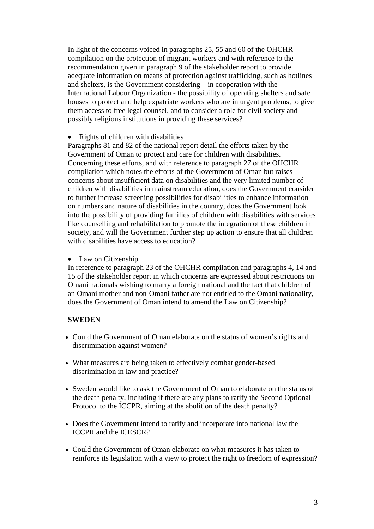In light of the concerns voiced in paragraphs 25, 55 and 60 of the OHCHR compilation on the protection of migrant workers and with reference to the recommendation given in paragraph 9 of the stakeholder report to provide adequate information on means of protection against trafficking, such as hotlines and shelters, is the Government considering – in cooperation with the International Labour Organization - the possibility of operating shelters and safe houses to protect and help expatriate workers who are in urgent problems, to give them access to free legal counsel, and to consider a role for civil society and possibly religious institutions in providing these services?

• Rights of children with disabilities

Paragraphs 81 and 82 of the national report detail the efforts taken by the Government of Oman to protect and care for children with disabilities. Concerning these efforts, and with reference to paragraph 27 of the OHCHR compilation which notes the efforts of the Government of Oman but raises concerns about insufficient data on disabilities and the very limited number of children with disabilities in mainstream education, does the Government consider to further increase screening possibilities for disabilities to enhance information on numbers and nature of disabilities in the country, does the Government look into the possibility of providing families of children with disabilities with services like counselling and rehabilitation to promote the integration of these children in society, and will the Government further step up action to ensure that all children with disabilities have access to education?

• Law on Citizenship

In reference to paragraph 23 of the OHCHR compilation and paragraphs 4, 14 and 15 of the stakeholder report in which concerns are expressed about restrictions on Omani nationals wishing to marry a foreign national and the fact that children of an Omani mother and non-Omani father are not entitled to the Omani nationality, does the Government of Oman intend to amend the Law on Citizenship?

#### **SWEDEN**

- Could the Government of Oman elaborate on the status of women's rights and discrimination against women?
- What measures are being taken to effectively combat gender-based discrimination in law and practice?
- Sweden would like to ask the Government of Oman to elaborate on the status of the death penalty, including if there are any plans to ratify the Second Optional Protocol to the ICCPR, aiming at the abolition of the death penalty?
- Does the Government intend to ratify and incorporate into national law the ICCPR and the ICESCR?
- Could the Government of Oman elaborate on what measures it has taken to reinforce its legislation with a view to protect the right to freedom of expression?